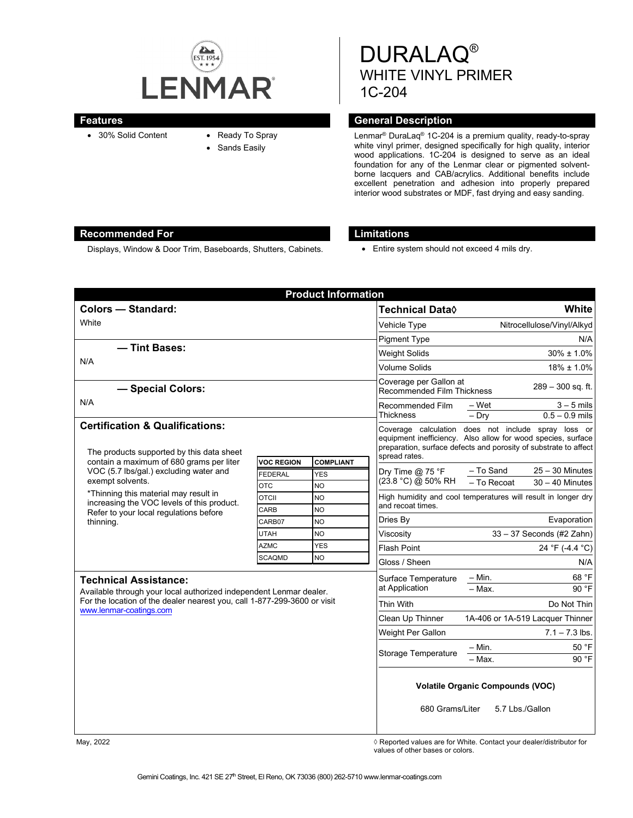

- 30% Solid Content Ready To Spray
- - Sands Easily

DURALAQ® WHITE VINYL PRIMER 1C-204

## **Features General Description**

Lenmar® DuraLaq® 1C-204 is a premium quality, ready-to-spray white vinyl primer, designed specifically for high quality, interior wood applications. 1C-204 is designed to serve as an ideal foundation for any of the Lenmar clear or pigmented solventborne lacquers and CAB/acrylics. Additional benefits include excellent penetration and adhesion into properly prepared interior wood substrates or MDF, fast drying and easy sanding.

### **Recommended For Limitations**

Displays, Window & Door Trim, Baseboards, Shutters, Cabinets. • Fntire system should not exceed 4 mils dry.

| <b>Product Information</b>                                                                                                                                                                               |                                                                    |               |                                                                                                                                                                                         |                                                               |
|----------------------------------------------------------------------------------------------------------------------------------------------------------------------------------------------------------|--------------------------------------------------------------------|---------------|-----------------------------------------------------------------------------------------------------------------------------------------------------------------------------------------|---------------------------------------------------------------|
| Colors - Standard:                                                                                                                                                                                       |                                                                    |               | <b>Technical Data</b> ♦                                                                                                                                                                 | White                                                         |
| White                                                                                                                                                                                                    |                                                                    |               | Vehicle Type                                                                                                                                                                            | Nitrocellulose/Vinyl/Alkyd                                    |
|                                                                                                                                                                                                          |                                                                    |               | <b>Pigment Type</b>                                                                                                                                                                     | N/A                                                           |
| - Tint Bases:<br>N/A                                                                                                                                                                                     |                                                                    |               | <b>Weight Solids</b>                                                                                                                                                                    | $30\% \pm 1.0\%$                                              |
|                                                                                                                                                                                                          |                                                                    |               | <b>Volume Solids</b>                                                                                                                                                                    | $18\% \pm 1.0\%$                                              |
| - Special Colors:                                                                                                                                                                                        |                                                                    |               | Coverage per Gallon at<br><b>Recommended Film Thickness</b>                                                                                                                             | $289 - 300$ sq. ft.                                           |
| N/A                                                                                                                                                                                                      |                                                                    |               | Recommended Film<br><b>Thickness</b>                                                                                                                                                    | – Wet<br>$3 - 5$ mils<br>$0.5 - 0.9$ mils<br>$-$ Dry          |
| <b>Certification &amp; Qualifications:</b><br>The products supported by this data sheet<br>contain a maximum of 680 grams per liter                                                                      | <b>COMPLIANT</b>                                                   | spread rates. | Coverage calculation does not include spray loss or<br>equipment inefficiency. Also allow for wood species, surface<br>preparation, surface defects and porosity of substrate to affect |                                                               |
| VOC (5.7 lbs/gal.) excluding water and<br>exempt solvents.<br>*Thinning this material may result in<br>increasing the VOC levels of this product.<br>Refer to your local regulations before<br>thinning. | <b>VOC REGION</b><br><b>FEDERAL</b>                                | <b>YES</b>    | Dry Time @ 75 °F                                                                                                                                                                        | - To Sand<br>$25 - 30$ Minutes                                |
|                                                                                                                                                                                                          | <b>OTC</b>                                                         | NO.           | (23.8 °C) @ 50% RH                                                                                                                                                                      | - To Recoat<br>$30 - 40$ Minutes                              |
|                                                                                                                                                                                                          | <b>OTCII</b>                                                       | NO            |                                                                                                                                                                                         | High humidity and cool temperatures will result in longer dry |
|                                                                                                                                                                                                          | CARB                                                               | <b>NO</b>     | and recoat times.                                                                                                                                                                       |                                                               |
|                                                                                                                                                                                                          | CARB07                                                             | <b>NO</b>     | Dries By                                                                                                                                                                                | Evaporation                                                   |
|                                                                                                                                                                                                          | <b>UTAH</b>                                                        | <b>NO</b>     | Viscositv                                                                                                                                                                               | $33 - 37$ Seconds (#2 Zahn)                                   |
|                                                                                                                                                                                                          | <b>AZMC</b>                                                        | <b>YES</b>    | <b>Flash Point</b>                                                                                                                                                                      | 24 °F (-4.4 °C)                                               |
|                                                                                                                                                                                                          | <b>SCAQMD</b>                                                      | <b>NO</b>     | Gloss / Sheen                                                                                                                                                                           | N/A                                                           |
| <b>Technical Assistance:</b>                                                                                                                                                                             |                                                                    |               | Surface Temperature<br>at Application                                                                                                                                                   | 68 °F<br>$- Min.$                                             |
|                                                                                                                                                                                                          | Available through your local authorized independent Lenmar dealer. |               |                                                                                                                                                                                         | $-$ Max.<br>90 °F                                             |
| For the location of the dealer nearest you, call 1-877-299-3600 or visit<br>www.lenmar-coatings.com                                                                                                      |                                                                    |               | <b>Thin With</b>                                                                                                                                                                        | Do Not Thin                                                   |
|                                                                                                                                                                                                          |                                                                    |               | Clean Up Thinner                                                                                                                                                                        | 1A-406 or 1A-519 Lacquer Thinner                              |
|                                                                                                                                                                                                          |                                                                    |               | Weight Per Gallon                                                                                                                                                                       | $7.1 - 7.3$ lbs.                                              |
|                                                                                                                                                                                                          |                                                                    |               | <b>Storage Temperature</b>                                                                                                                                                              | 50 °F<br>$-$ Min.                                             |
|                                                                                                                                                                                                          |                                                                    |               |                                                                                                                                                                                         | $-$ Max.<br>90 °F                                             |
|                                                                                                                                                                                                          |                                                                    |               | <b>Volatile Organic Compounds (VOC)</b><br>680 Grams/Liter<br>5.7 Lbs./Gallon                                                                                                           |                                                               |

May, 2022 *May, 2022 Reported values are for White. Contact your dealer/distributor for* $\Diamond$  **Reported values are for White. Contact your dealer/distributor for** values of other bases or colors.